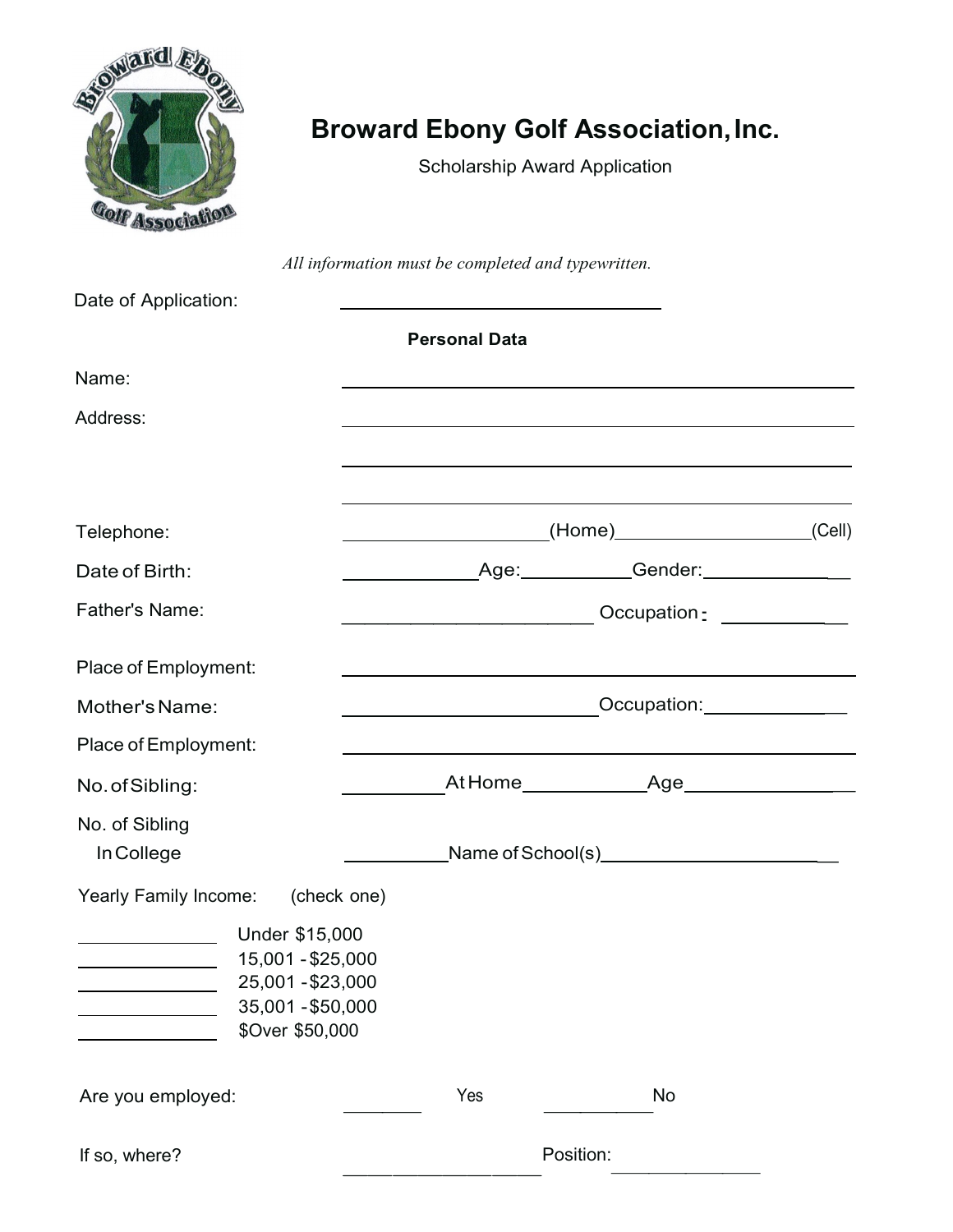

# **Broward Ebony Golf Association, Inc.**

Scholarship Award Application

*All information must be completed and typewritten.*

| Date of Application:                                                                             |                                             |                                             |  |
|--------------------------------------------------------------------------------------------------|---------------------------------------------|---------------------------------------------|--|
|                                                                                                  | <b>Personal Data</b>                        |                                             |  |
| Name:                                                                                            |                                             |                                             |  |
| Address:                                                                                         |                                             |                                             |  |
|                                                                                                  |                                             |                                             |  |
| Telephone:                                                                                       |                                             | (Home <u>)</u> (Cell)                       |  |
| Date of Birth:                                                                                   |                                             | Age: Gender: Communication                  |  |
| <b>Father's Name:</b>                                                                            |                                             | Occupation <u>- ________</u> __             |  |
| Place of Employment:                                                                             |                                             |                                             |  |
| Mother's Name:                                                                                   |                                             | Occupation: <u>_____________</u> __         |  |
| Place of Employment:                                                                             |                                             |                                             |  |
| No. of Sibling:                                                                                  |                                             | At Home________________Age_________________ |  |
| No. of Sibling<br>In College                                                                     | Name of School(s)__________________________ |                                             |  |
| Yearly Family Income: (check one)                                                                |                                             |                                             |  |
| Under \$15,000<br>15,001 - \$25,000<br>25,001 - \$23,000<br>35,001 - \$50,000<br>\$Over \$50,000 |                                             |                                             |  |
| Are you employed:                                                                                | Yes                                         | No                                          |  |
| If so, where?                                                                                    | Position:                                   |                                             |  |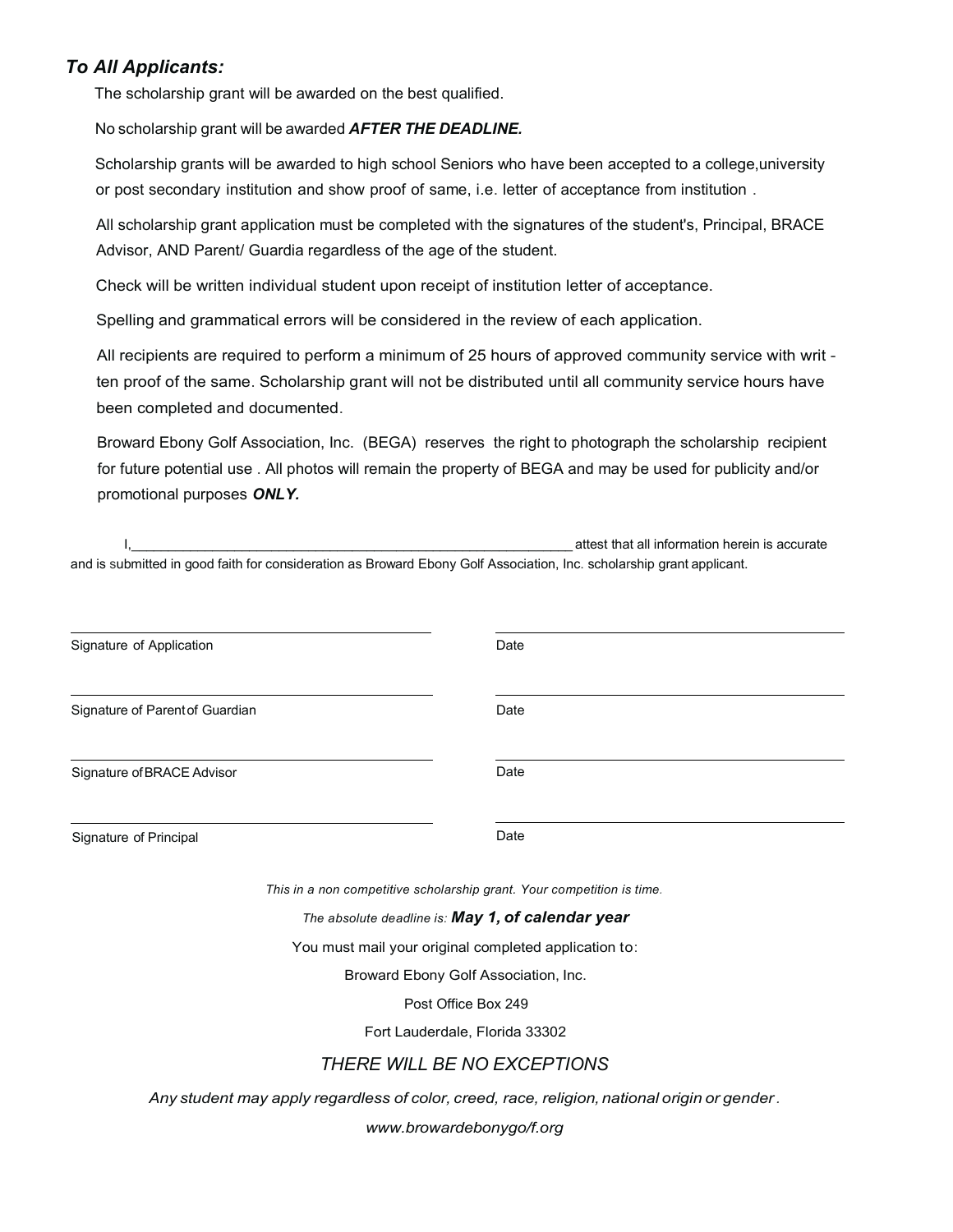### *To All Applicants:*

The scholarship grant will be awarded on the best qualified.

No scholarship grant will be awarded *AFTER THE DEADLINE.*

Scholarship grants will be awarded to high school Seniors who have been accepted to a college,university or post secondary institution and show proof of same, i.e. letter of acceptance from institution .

All scholarship grant application must be completed with the signatures of the student's, Principal, BRACE Advisor, AND Parent/ Guardia regardless of the age of the student.

Check will be written individual student upon receipt of institution letter of acceptance.

Spelling and grammatical errors will be considered in the review of each application.

All recipients are required to perform a minimum of 25 hours of approved community service with writ ten proof of the same. Scholarship grant will not be distributed until all community service hours have been completed and documented.

Broward Ebony Golf Association, Inc. (BEGA) reserves the right to photograph the scholarship recipient for future potential use . All photos will remain the property of BEGA and may be used for publicity and/or promotional purposes *ONLY.*

|                                 | attest that all information herein is accurate                                                                        |
|---------------------------------|-----------------------------------------------------------------------------------------------------------------------|
|                                 | and is submitted in good faith for consideration as Broward Ebony Golf Association, Inc. scholarship grant applicant. |
|                                 |                                                                                                                       |
| Signature of Application        | Date                                                                                                                  |
|                                 |                                                                                                                       |
| Signature of Parent of Guardian | Date                                                                                                                  |
|                                 |                                                                                                                       |
| Signature of BRACE Advisor      | Date                                                                                                                  |
| Signature of Principal          | Date                                                                                                                  |
|                                 | This in a non competitive scholarship grant. Your competition is time.                                                |
|                                 | The absolute deadline is: May 1, of calendar year                                                                     |
|                                 | You must mail your original completed application to:                                                                 |
|                                 | Broward Ebony Golf Association, Inc.                                                                                  |
|                                 | Post Office Box 249                                                                                                   |
|                                 | Fort Lauderdale, Florida 33302                                                                                        |
|                                 | <b>THERE WILL BE NO EXCEPTIONS</b>                                                                                    |

*Any student may apply regardless of color, creed, race, religion,national origin or gender.* 

*www.browardebonygo/f.org*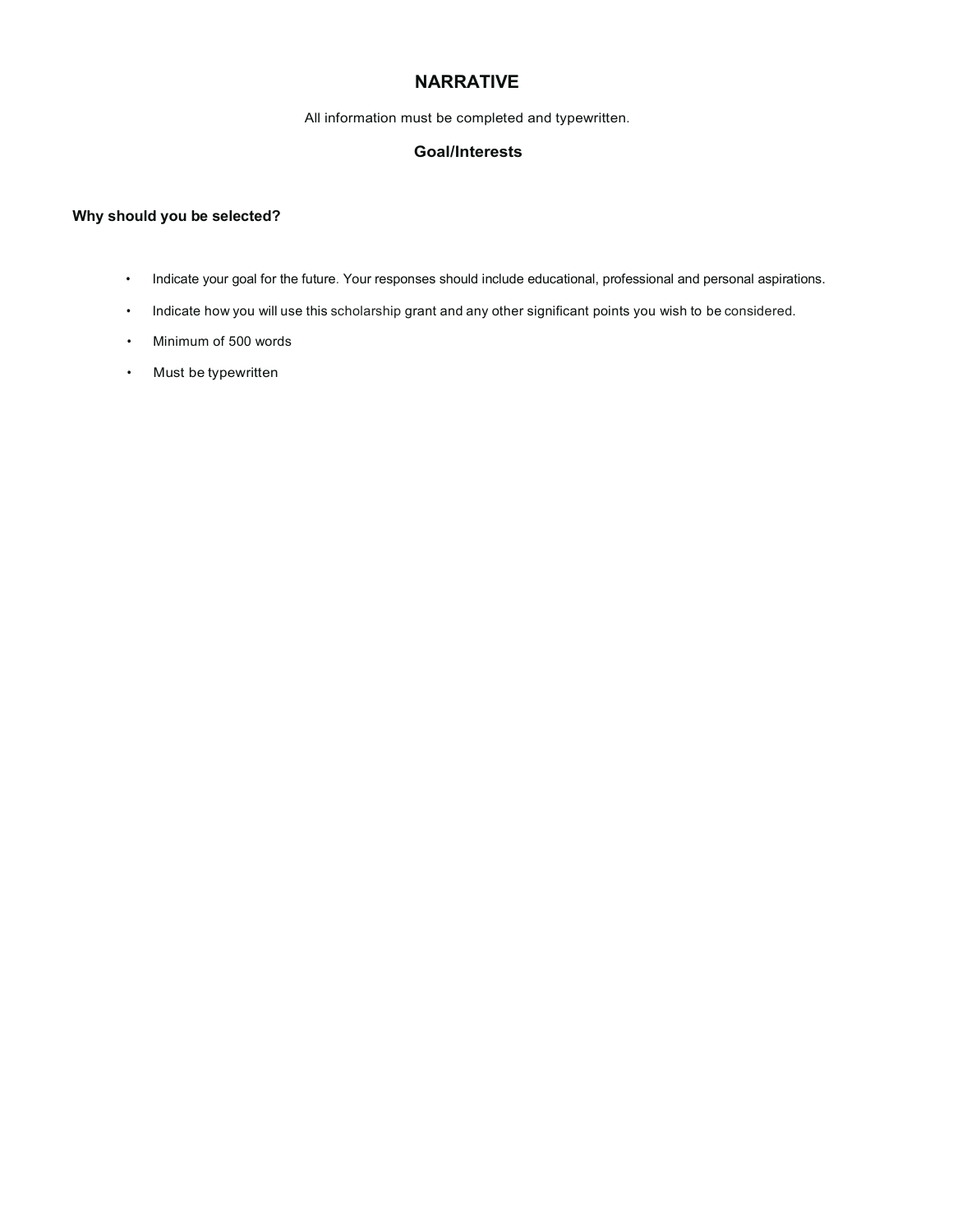#### **NARRATIVE**

All information must be completed and typewritten.

#### **Goal/Interests**

#### **Why should you be selected?**

- Indicate your goal for the future. Your responses should include educational, professional and personal aspirations.
- Indicate how you will use this scholarship grant and any other significant points you wish to be considered.
- Minimum of 500 words
- Must be typewritten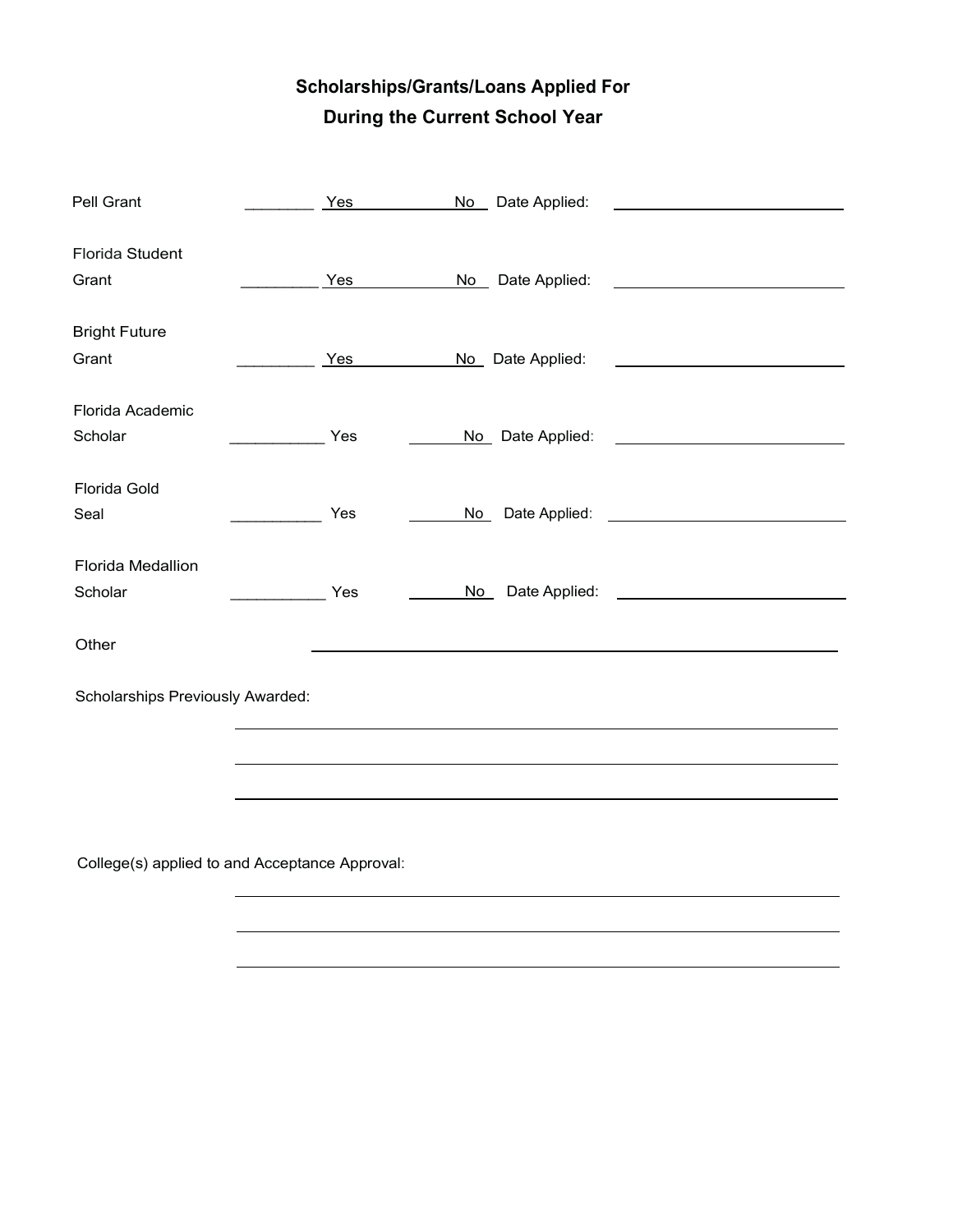# **Scholarships/Grants/Loans Applied For During the Current School Year**

| Pell Grant                                     | Yes                          | No Date Applied:                         |                                                     |
|------------------------------------------------|------------------------------|------------------------------------------|-----------------------------------------------------|
| Florida Student                                |                              |                                          |                                                     |
| Grant                                          | <b>Yes</b>                   | No Date Applied: <u>No Date Applied:</u> |                                                     |
| <b>Bright Future</b>                           |                              |                                          |                                                     |
| Grant                                          | Yes                          | No Date Applied:                         |                                                     |
| Florida Academic                               |                              |                                          |                                                     |
| Scholar                                        | $\overline{\phantom{a}}$ Yes | No Date Applied: No Date Applied:        |                                                     |
| Florida Gold                                   |                              |                                          |                                                     |
| Seal                                           | Yes                          | No                                       |                                                     |
| Florida Medallion                              |                              |                                          |                                                     |
| Scholar                                        | Yes<br>$\frac{1}{2}$         | No                                       | Date Applied: <u>______________________________</u> |
| Other                                          |                              |                                          |                                                     |
| <b>Scholarships Previously Awarded:</b>        |                              |                                          |                                                     |
|                                                |                              |                                          |                                                     |
|                                                |                              |                                          |                                                     |
|                                                |                              |                                          |                                                     |
| College(s) applied to and Acceptance Approval: |                              |                                          |                                                     |

College(s) applied to and Acceptance Appr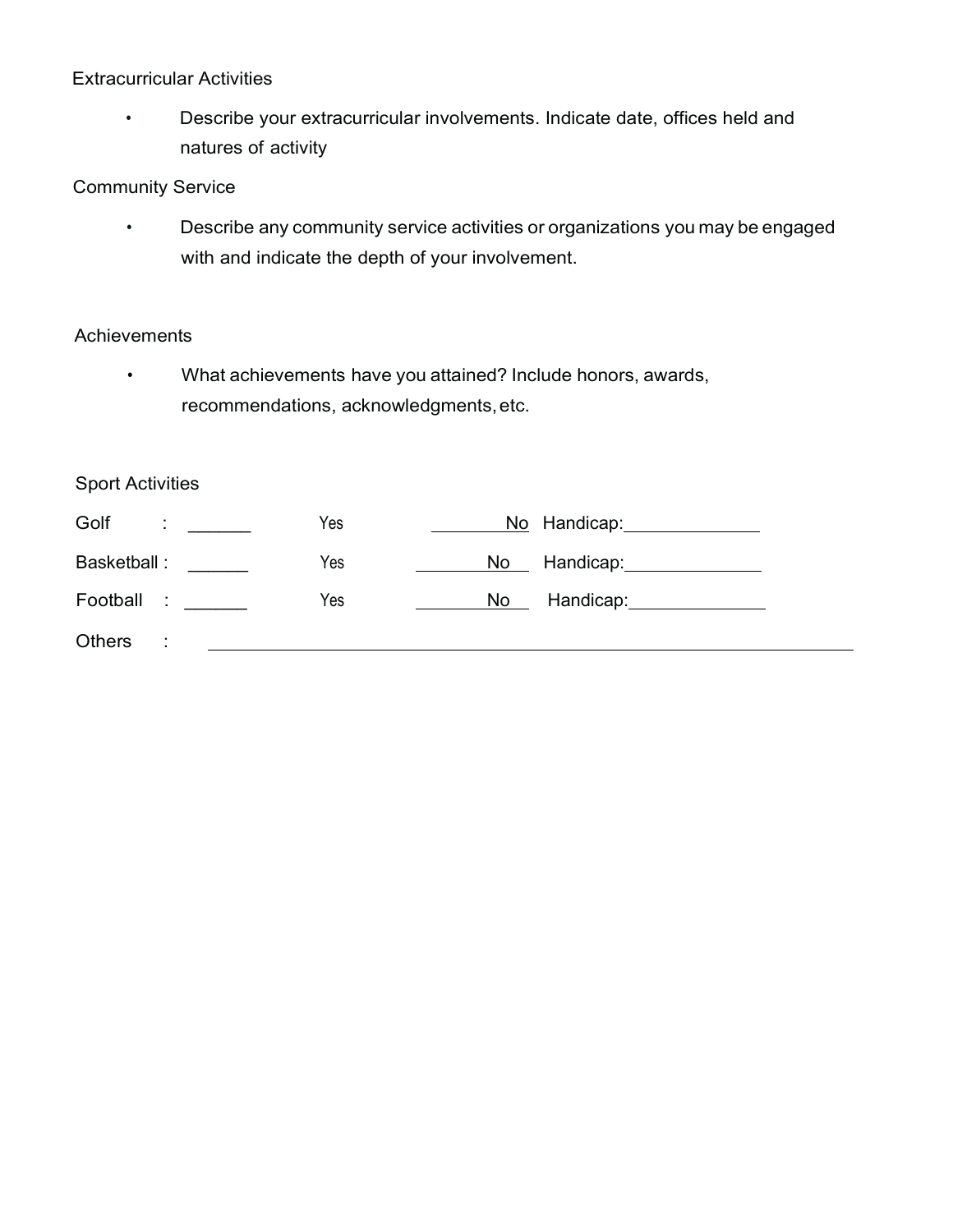#### Extracurricular Activities

• Describe your extracurricular involvements. Indicate date, offices held and natures of activity

#### Community Service

• Describe any community service activities or organizations you may be engaged with and indicate the depth of your involvement.

#### **Achievements**

• What achievements have you attained? Include honors, awards, recommendations, acknowledgments,etc.

### Sport Activities

| Golf<br>÷     | Yes | No Handicap:                   |
|---------------|-----|--------------------------------|
| Basketball:   | Yes | Handicap:_______________<br>No |
| Football :    | Yes | Handicap:<br>No                |
| <b>Others</b> |     |                                |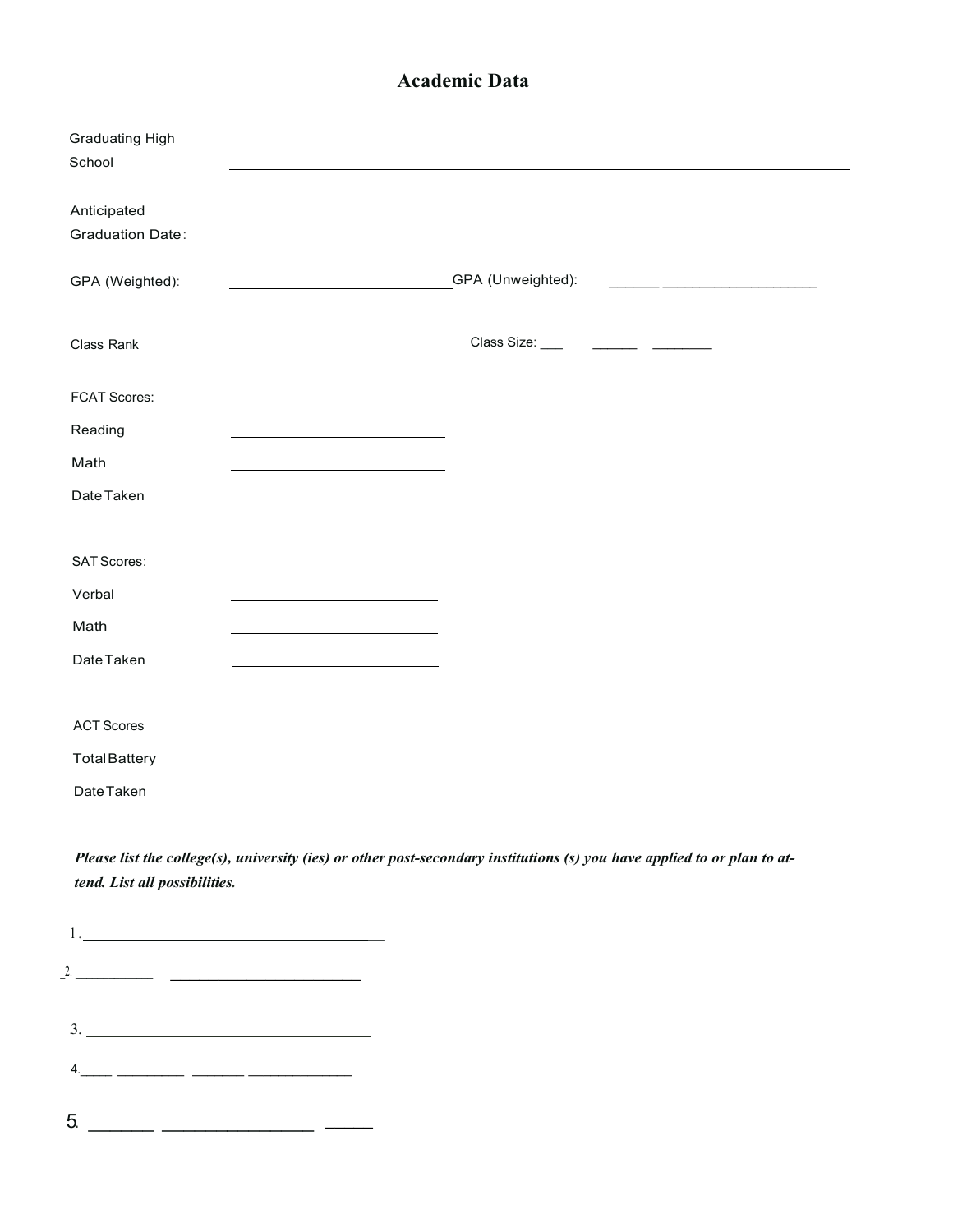### **Academic Data**

| <b>Graduating High</b><br>School                                                                                                                                                                                                                                                                                                                                                                                                                          |                                                                                                                          |
|-----------------------------------------------------------------------------------------------------------------------------------------------------------------------------------------------------------------------------------------------------------------------------------------------------------------------------------------------------------------------------------------------------------------------------------------------------------|--------------------------------------------------------------------------------------------------------------------------|
| Anticipated<br><b>Graduation Date:</b>                                                                                                                                                                                                                                                                                                                                                                                                                    |                                                                                                                          |
| GPA (Weighted):                                                                                                                                                                                                                                                                                                                                                                                                                                           | GPA (Unweighted):                                                                                                        |
| Class Rank                                                                                                                                                                                                                                                                                                                                                                                                                                                |                                                                                                                          |
| <b>FCAT Scores:</b>                                                                                                                                                                                                                                                                                                                                                                                                                                       |                                                                                                                          |
| Reading<br><u> 1989 - Johann Barn, mars eta biztanleria (h. 1989).</u>                                                                                                                                                                                                                                                                                                                                                                                    |                                                                                                                          |
| Math                                                                                                                                                                                                                                                                                                                                                                                                                                                      |                                                                                                                          |
| Date Taken                                                                                                                                                                                                                                                                                                                                                                                                                                                |                                                                                                                          |
|                                                                                                                                                                                                                                                                                                                                                                                                                                                           |                                                                                                                          |
| <b>SAT Scores:</b>                                                                                                                                                                                                                                                                                                                                                                                                                                        |                                                                                                                          |
| Verbal                                                                                                                                                                                                                                                                                                                                                                                                                                                    |                                                                                                                          |
| Math                                                                                                                                                                                                                                                                                                                                                                                                                                                      |                                                                                                                          |
| Date Taken                                                                                                                                                                                                                                                                                                                                                                                                                                                |                                                                                                                          |
|                                                                                                                                                                                                                                                                                                                                                                                                                                                           |                                                                                                                          |
| <b>ACT Scores</b>                                                                                                                                                                                                                                                                                                                                                                                                                                         |                                                                                                                          |
| <b>Total Battery</b>                                                                                                                                                                                                                                                                                                                                                                                                                                      |                                                                                                                          |
| Date Taken                                                                                                                                                                                                                                                                                                                                                                                                                                                |                                                                                                                          |
| tend. List all possibilities.                                                                                                                                                                                                                                                                                                                                                                                                                             | Please list the college(s), university (ies) or other post-secondary institutions (s) you have applied to or plan to at- |
|                                                                                                                                                                                                                                                                                                                                                                                                                                                           |                                                                                                                          |
| $\boxed{1. \begin{tabular}{@{}c@{}}l@{}} \multicolumn{3}{c }{\textbf{1}} & \multicolumn{3}{c }{\textbf{1}} & \multicolumn{3}{c }{\textbf{1}} & \multicolumn{3}{c }{\textbf{1}} & \multicolumn{3}{c }{\textbf{1}} & \multicolumn{3}{c }{\textbf{1}} & \multicolumn{3}{c }{\textbf{1}} & \multicolumn{3}{c }{\textbf{1}} & \multicolumn{3}{c }{\textbf{1}} & \multicolumn{3}{c }{\textbf{1}} & \multicolumn{3}{c }{\textbf{1}} & \multicolumn{3}{c }{\text$ |                                                                                                                          |
| 2.                                                                                                                                                                                                                                                                                                                                                                                                                                                        |                                                                                                                          |
| 3.<br><u> 1980 - Johann Stein, marwolaethau a bhann an t-Albann an t-Albann an t-Albann an t-Albann an t-Albann an t-Al</u>                                                                                                                                                                                                                                                                                                                               |                                                                                                                          |

- 4.\_\_\_\_\_ \_\_\_\_\_\_\_\_\_ \_\_\_\_\_\_\_ \_\_\_\_\_\_\_\_\_\_\_\_\_\_
- $5 \ \_ \ \_ \ \_ \ \_ \ \_ \ \_ \ \_ \$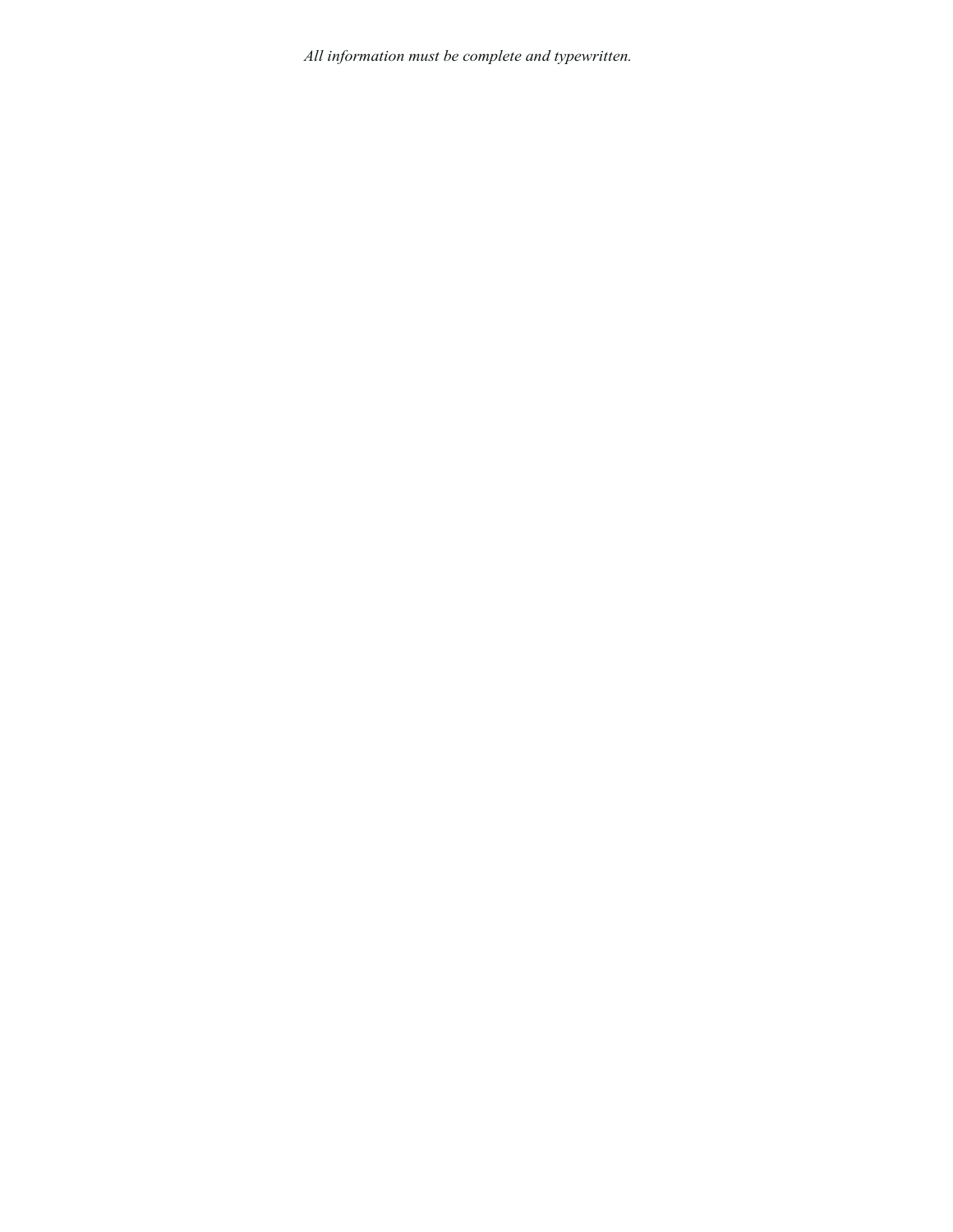*All information must be complete and typewritten.*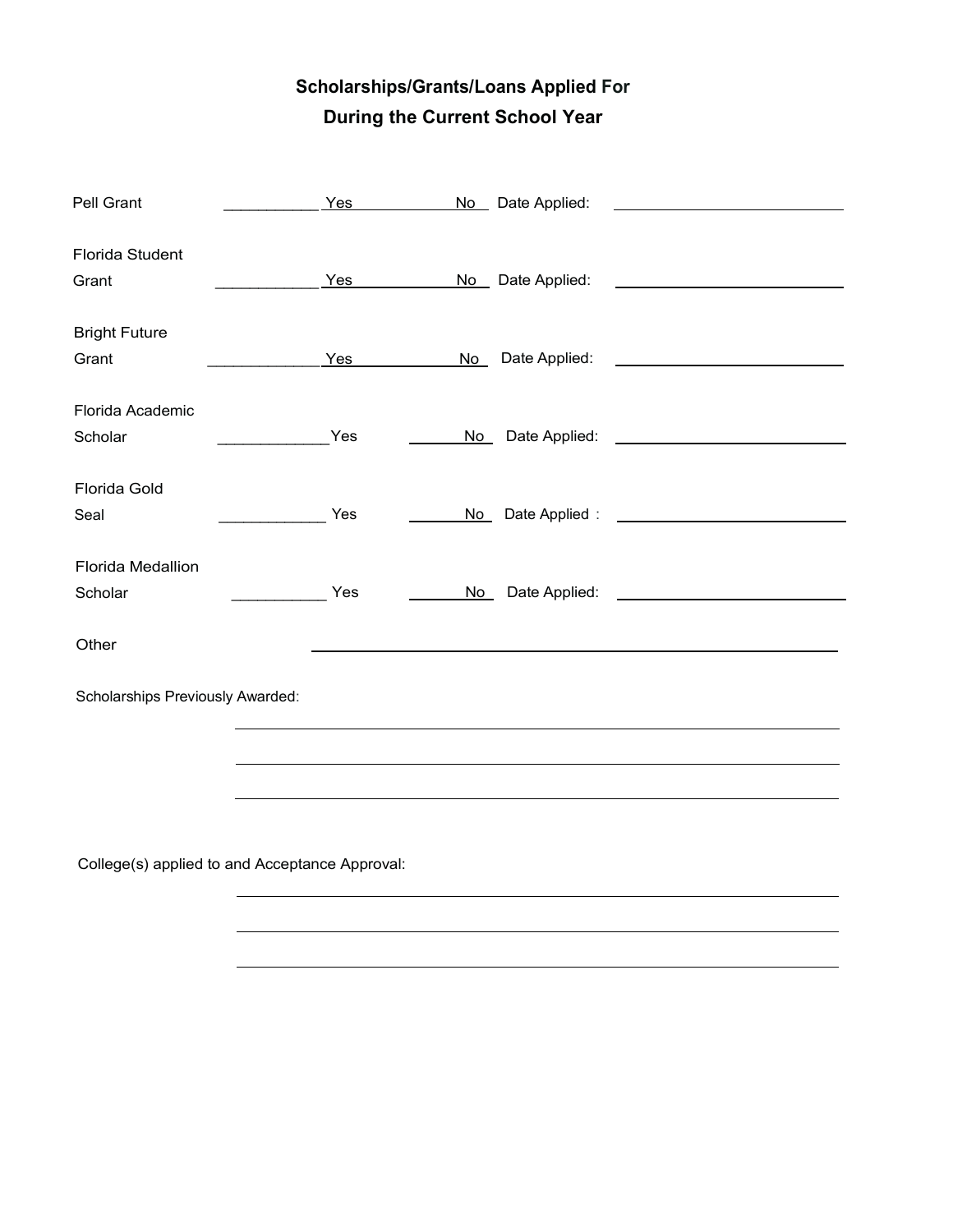# **Scholarships/Grants/Loans Applied For During the Current School Year**

| Pell Grant                       |                      | Yes |      | No Date Applied: | <u> 1980 - Jan James James Barbara, politik eta politik eta politik eta politik eta politik eta politik eta poli</u> |
|----------------------------------|----------------------|-----|------|------------------|----------------------------------------------------------------------------------------------------------------------|
| Florida Student                  |                      |     |      |                  |                                                                                                                      |
| Grant                            |                      | Yes |      | No Date Applied: | <u> 1980 - Jan Samuel Barbara, politik eta politik eta politik eta politik eta politik eta politik eta politik e</u> |
| <b>Bright Future</b>             |                      |     |      |                  |                                                                                                                      |
| Grant                            |                      | Yes |      |                  |                                                                                                                      |
| Florida Academic                 |                      |     |      |                  |                                                                                                                      |
| Scholar                          |                      | Yes | No l |                  |                                                                                                                      |
| Florida Gold                     |                      |     |      |                  |                                                                                                                      |
| Seal                             |                      | Yes |      |                  | No Date Applied : No Date Applied :                                                                                  |
| Florida Medallion                |                      |     |      |                  |                                                                                                                      |
| Scholar                          | <u>and the state</u> | Yes |      |                  | No Date Applied: <u>No Date Applied:</u>                                                                             |
| Other                            |                      |     |      |                  |                                                                                                                      |
| Scholarships Previously Awarded: |                      |     |      |                  |                                                                                                                      |
|                                  |                      |     |      |                  |                                                                                                                      |
|                                  |                      |     |      |                  | ,我们也不能在这里的时候,我们也不能在这里的时候,我们也不能会在这里的时候,我们也不能会在这里的时候,我们也不能会在这里的时候,我们也不能会在这里的时候,我们也不                                    |
|                                  |                      |     |      |                  |                                                                                                                      |
|                                  |                      |     |      |                  |                                                                                                                      |

College(s) applied to and Acceptance Approval: